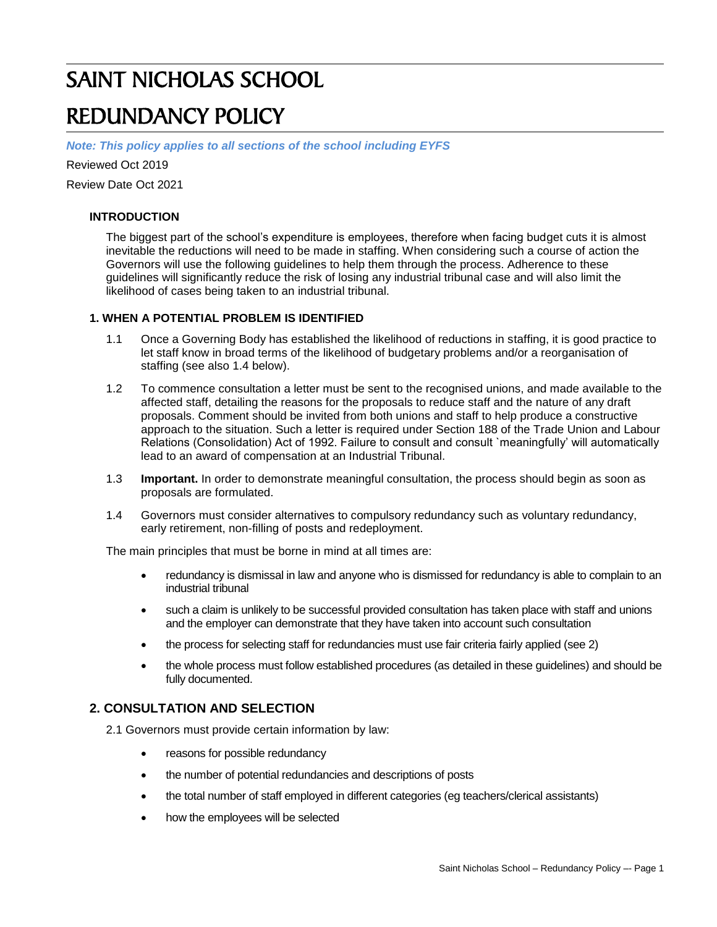# SAINT NICHOLAS SCHOOL

## REDUNDANCY POLICY

*Note: This policy applies to all sections of the school including EYFS*

Reviewed Oct 2019

Review Date Oct 2021

#### **INTRODUCTION**

The biggest part of the school's expenditure is employees, therefore when facing budget cuts it is almost inevitable the reductions will need to be made in staffing. When considering such a course of action the Governors will use the following guidelines to help them through the process. Adherence to these guidelines will significantly reduce the risk of losing any industrial tribunal case and will also limit the likelihood of cases being taken to an industrial tribunal.

#### **1. WHEN A POTENTIAL PROBLEM IS IDENTIFIED**

- 1.1 Once a Governing Body has established the likelihood of reductions in staffing, it is good practice to let staff know in broad terms of the likelihood of budgetary problems and/or a reorganisation of staffing (see also 1.4 below).
- 1.2 To commence consultation a letter must be sent to the recognised unions, and made available to the affected staff, detailing the reasons for the proposals to reduce staff and the nature of any draft proposals. Comment should be invited from both unions and staff to help produce a constructive approach to the situation. Such a letter is required under Section 188 of the Trade Union and Labour Relations (Consolidation) Act of 1992. Failure to consult and consult `meaningfully' will automatically lead to an award of compensation at an Industrial Tribunal.
- 1.3 **Important.** In order to demonstrate meaningful consultation, the process should begin as soon as proposals are formulated.
- 1.4 Governors must consider alternatives to compulsory redundancy such as voluntary redundancy, early retirement, non-filling of posts and redeployment.

The main principles that must be borne in mind at all times are:

- redundancy is dismissal in law and anyone who is dismissed for redundancy is able to complain to an industrial tribunal
- such a claim is unlikely to be successful provided consultation has taken place with staff and unions and the employer can demonstrate that they have taken into account such consultation
- the process for selecting staff for redundancies must use fair criteria fairly applied (see 2)
- the whole process must follow established procedures (as detailed in these guidelines) and should be fully documented.

#### **2. CONSULTATION AND SELECTION**

2.1 Governors must provide certain information by law:

- reasons for possible redundancy
- the number of potential redundancies and descriptions of posts
- the total number of staff employed in different categories (eg teachers/clerical assistants)
- how the employees will be selected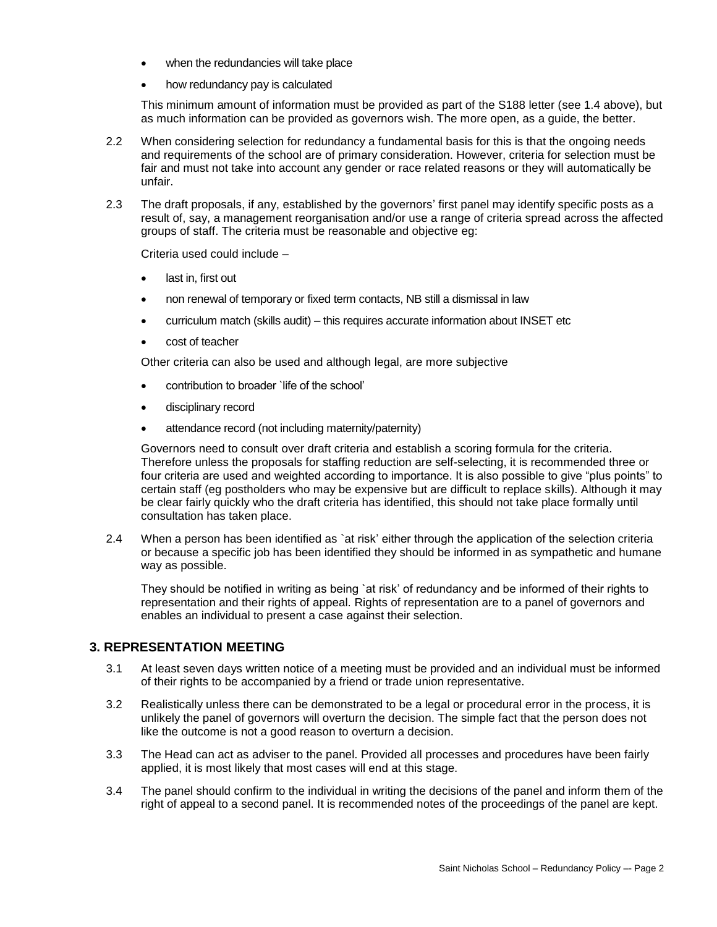- when the redundancies will take place
- how redundancy pay is calculated

This minimum amount of information must be provided as part of the S188 letter (see 1.4 above), but as much information can be provided as governors wish. The more open, as a guide, the better.

- 2.2 When considering selection for redundancy a fundamental basis for this is that the ongoing needs and requirements of the school are of primary consideration. However, criteria for selection must be fair and must not take into account any gender or race related reasons or they will automatically be unfair.
- 2.3 The draft proposals, if any, established by the governors' first panel may identify specific posts as a result of, say, a management reorganisation and/or use a range of criteria spread across the affected groups of staff. The criteria must be reasonable and objective eg:

Criteria used could include –

- last in, first out
- non renewal of temporary or fixed term contacts, NB still a dismissal in law
- curriculum match (skills audit) this requires accurate information about INSET etc
- cost of teacher

Other criteria can also be used and although legal, are more subjective

- contribution to broader `life of the school'
- disciplinary record
- attendance record (not including maternity/paternity)

Governors need to consult over draft criteria and establish a scoring formula for the criteria. Therefore unless the proposals for staffing reduction are self-selecting, it is recommended three or four criteria are used and weighted according to importance. It is also possible to give "plus points" to certain staff (eg postholders who may be expensive but are difficult to replace skills). Although it may be clear fairly quickly who the draft criteria has identified, this should not take place formally until consultation has taken place.

2.4 When a person has been identified as `at risk' either through the application of the selection criteria or because a specific job has been identified they should be informed in as sympathetic and humane way as possible.

They should be notified in writing as being `at risk' of redundancy and be informed of their rights to representation and their rights of appeal. Rights of representation are to a panel of governors and enables an individual to present a case against their selection.

#### **3. REPRESENTATION MEETING**

- 3.1 At least seven days written notice of a meeting must be provided and an individual must be informed of their rights to be accompanied by a friend or trade union representative.
- 3.2 Realistically unless there can be demonstrated to be a legal or procedural error in the process, it is unlikely the panel of governors will overturn the decision. The simple fact that the person does not like the outcome is not a good reason to overturn a decision.
- 3.3 The Head can act as adviser to the panel. Provided all processes and procedures have been fairly applied, it is most likely that most cases will end at this stage.
- 3.4 The panel should confirm to the individual in writing the decisions of the panel and inform them of the right of appeal to a second panel. It is recommended notes of the proceedings of the panel are kept.